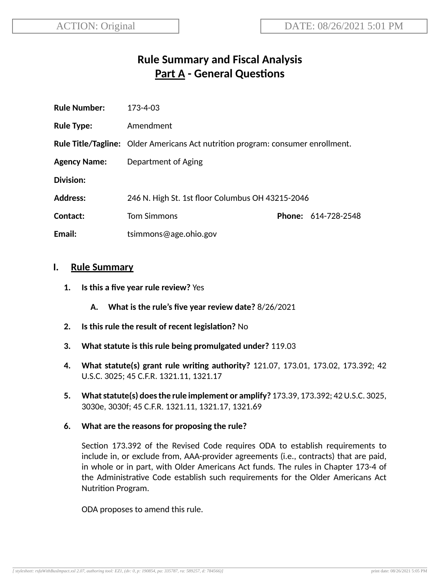# **Rule Summary and Fiscal Analysis Part A** - General Questions

| <b>Rule Number:</b> | 173-4-03                                                                               |  |                            |
|---------------------|----------------------------------------------------------------------------------------|--|----------------------------|
| <b>Rule Type:</b>   | Amendment                                                                              |  |                            |
|                     | <b>Rule Title/Tagline:</b> Older Americans Act nutrition program: consumer enrollment. |  |                            |
| <b>Agency Name:</b> | Department of Aging                                                                    |  |                            |
| Division:           |                                                                                        |  |                            |
| <b>Address:</b>     | 246 N. High St. 1st floor Columbus OH 43215-2046                                       |  |                            |
| Contact:            | <b>Tom Simmons</b>                                                                     |  | <b>Phone: 614-728-2548</b> |
| Email:              | tsimmons@age.ohio.gov                                                                  |  |                            |

### **I. Rule Summary**

- **1. Is this a five year rule review?** Yes
	- **A. What is the rule's five year review date?** 8/26/2021
- **2.** Is this rule the result of recent legislation? No
- **3. What statute is this rule being promulgated under?** 119.03
- **4. What statute(s) grant rule wring authority?** 121.07, 173.01, 173.02, 173.392; 42 U.S.C. 3025; 45 C.F.R. 1321.11, 1321.17
- **5. Whatstatute(s) doesthe rule implement or amplify?** 173.39, 173.392; 42U.S.C. 3025, 3030e, 3030f; 45 C.F.R. 1321.11, 1321.17, 1321.69
- **6. What are the reasons for proposing the rule?**

Section 173.392 of the Revised Code requires ODA to establish requirements to include in, or exclude from, AAA-provider agreements (i.e., contracts) that are paid, in whole or in part, with Older Americans Act funds. The rules in Chapter 173-4 of the Administrative Code establish such requirements for the Older Americans Act Nutrition Program.

ODA proposes to amend this rule.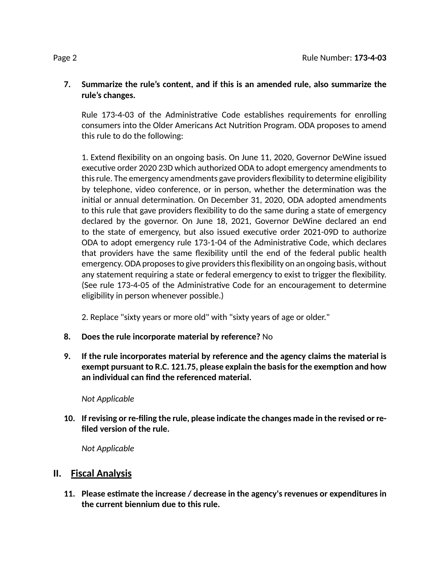### **7. Summarize the rule's content, and if this is an amended rule, also summarize the rule's changes.**

Rule 173-4-03 of the Administrative Code establishes requirements for enrolling consumers into the Older Americans Act Nutrition Program. ODA proposes to amend this rule to do the following:

1. Extend flexibility on an ongoing basis. On June 11, 2020, Governor DeWine issued executive order 2020 23D which authorized ODA to adopt emergency amendments to thisrule. The emergency amendments gave providers flexibility to determine eligibility by telephone, video conference, or in person, whether the determination was the initial or annual determination. On December 31, 2020, ODA adopted amendments to this rule that gave providers flexibility to do the same during a state of emergency declared by the governor. On June 18, 2021, Governor DeWine declared an end to the state of emergency, but also issued executive order 2021-09D to authorize ODA to adopt emergency rule 173-1-04 of the Administrative Code, which declares that providers have the same flexibility until the end of the federal public health emergency. ODA proposes to give providers this flexibility on an ongoing basis, without any statement requiring a state or federal emergency to exist to trigger the flexibility. (See rule 173-4-05 of the Administrative Code for an encouragement to determine eligibility in person whenever possible.)

2. Replace "sixty years or more old" with "sixty years of age or older."

- **8. Does the rule incorporate material by reference?** No
- **9. If the rule incorporates material by reference and the agency claims the material is exempt pursuant to R.C. 121.75, please explain the basisfor the exempon and how an individual can find the referenced material.**

*Not Applicable*

**10. If revising or re-filing the rule, please indicate the changes made in the revised or refiled version of the rule.**

*Not Applicable*

## **II. Fiscal Analysis**

**11. Please esmate the increase / decrease in the agency's revenues or expenditures in the current biennium due to this rule.**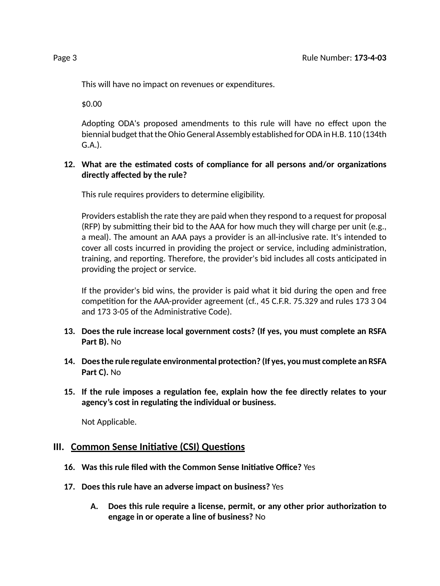This will have no impact on revenues or expenditures.

\$0.00

Adopting ODA's proposed amendments to this rule will have no effect upon the biennial budget that the Ohio General Assembly established for ODA in H.B. 110 (134th G.A.).

### **12.** What are the estimated costs of compliance for all persons and/or organizations **directly affected by the rule?**

This rule requires providers to determine eligibility.

Providers establish the rate they are paid when they respond to a request for proposal  $(RFP)$  by submitting their bid to the AAA for how much they will charge per unit (e.g., a meal). The amount an AAA pays a provider is an all-inclusive rate. It's intended to cover all costs incurred in providing the project or service, including administration, training, and reporting. Therefore, the provider's bid includes all costs anticipated in providing the project or service.

If the provider's bid wins, the provider is paid what it bid during the open and free competition for the AAA-provider agreement (cf., 45 C.F.R. 75.329 and rules 173 3 04 and 173 3-05 of the Administrative Code).

- **13. Does the rule increase local government costs? (If yes, you must complete an RSFA Part B).** No
- **14. Doesthe rule regulate environmental protecon? (If yes, you must complete an RSFA Part C).** No
- **15. If the rule imposes a regulaon fee, explain how the fee directly relates to your agency's cost in regulang the individual or business.**

Not Applicable.

### **III.** Common Sense Initiative (CSI) Questions

- **16. Was this rule filed with the Common Sense Iniave Office?** Yes
- **17. Does this rule have an adverse impact on business?** Yes
	- **A. Does this rule require a license, permit, or any other prior authorizaon to engage in or operate a line of business?** No